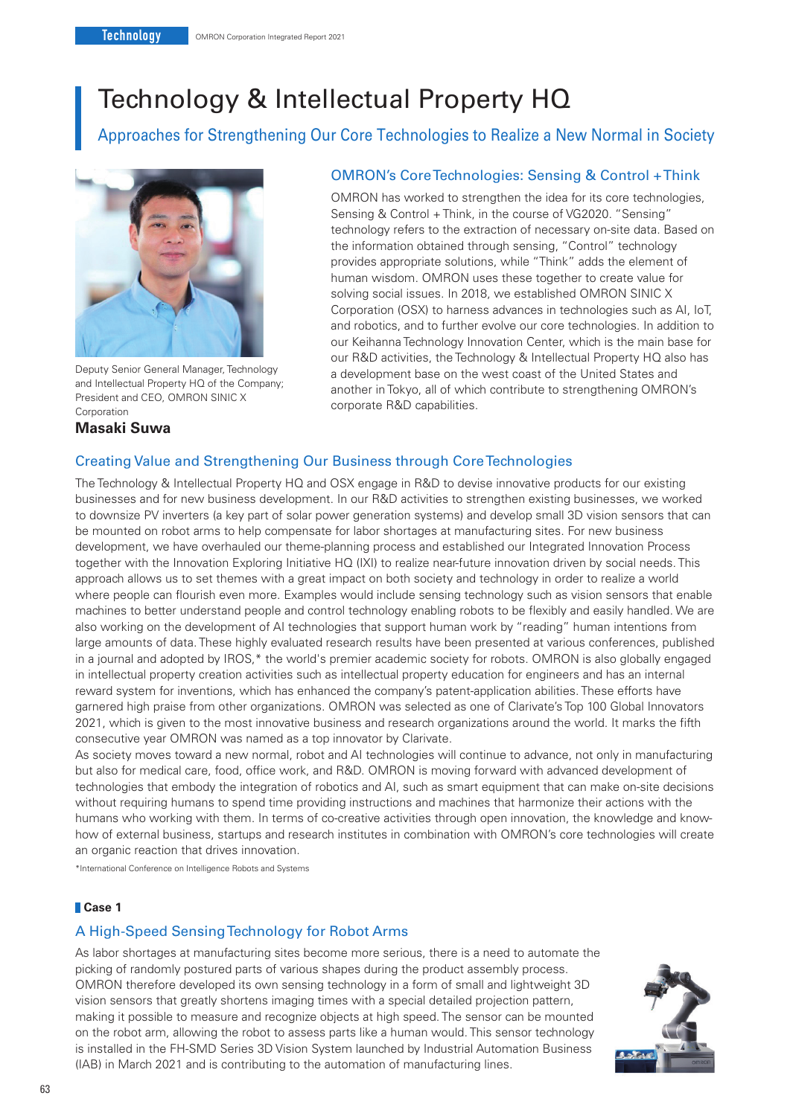# Technology & Intellectual Property HQ

Approaches for Strengthening Our Core Technologies to Realize a New Normal in Society



Deputy Senior General Manager, Technology and Intellectual Property HQ of the Company; President and CEO, OMRON SINIC X Corporation

### **Masaki Suwa**

## OMRON's Core Technologies: Sensing & Control + Think

OMRON has worked to strengthen the idea for its core technologies, Sensing & Control + Think, in the course of VG2020. "Sensing" technology refers to the extraction of necessary on-site data. Based on the information obtained through sensing, "Control" technology provides appropriate solutions, while "Think" adds the element of human wisdom. OMRON uses these together to create value for solving social issues. In 2018, we established OMRON SINIC X Corporation (OSX) to harness advances in technologies such as AI, IoT, and robotics, and to further evolve our core technologies. In addition to our Keihanna Technology Innovation Center, which is the main base for our R&D activities, the Technology & Intellectual Property HQ also has a development base on the west coast of the United States and another in Tokyo, all of which contribute to strengthening OMRON's corporate R&D capabilities.

## Creating Value and Strengthening Our Business through Core Technologies

The Technology & Intellectual Property HQ and OSX engage in R&D to devise innovative products for our existing businesses and for new business development. In our R&D activities to strengthen existing businesses, we worked to downsize PV inverters (a key part of solar power generation systems) and develop small 3D vision sensors that can be mounted on robot arms to help compensate for labor shortages at manufacturing sites. For new business development, we have overhauled our theme-planning process and established our Integrated Innovation Process together with the Innovation Exploring Initiative HQ (IXI) to realize near-future innovation driven by social needs. This approach allows us to set themes with a great impact on both society and technology in order to realize a world where people can flourish even more. Examples would include sensing technology such as vision sensors that enable machines to better understand people and control technology enabling robots to be flexibly and easily handled. We are also working on the development of AI technologies that support human work by "reading" human intentions from large amounts of data. These highly evaluated research results have been presented at various conferences, published in a journal and adopted by IROS,\* the world's premier academic society for robots. OMRON is also globally engaged in intellectual property creation activities such as intellectual property education for engineers and has an internal reward system for inventions, which has enhanced the company's patent-application abilities. These efforts have garnered high praise from other organizations. OMRON was selected as one of Clarivate's Top 100 Global Innovators 2021, which is given to the most innovative business and research organizations around the world. It marks the fifth consecutive year OMRON was named as a top innovator by Clarivate.

As society moves toward a new normal, robot and AI technologies will continue to advance, not only in manufacturing but also for medical care, food, office work, and R&D. OMRON is moving forward with advanced development of technologies that embody the integration of robotics and AI, such as smart equipment that can make on-site decisions without requiring humans to spend time providing instructions and machines that harmonize their actions with the humans who working with them. In terms of co-creative activities through open innovation, the knowledge and knowhow of external business, startups and research institutes in combination with OMRON's core technologies will create an organic reaction that drives innovation.

\*International Conference on Intelligence Robots and Systems

#### **Case 1**

#### A High-Speed Sensing Technology for Robot Arms

As labor shortages at manufacturing sites become more serious, there is a need to automate the picking of randomly postured parts of various shapes during the product assembly process. OMRON therefore developed its own sensing technology in a form of small and lightweight 3D vision sensors that greatly shortens imaging times with a special detailed projection pattern, making it possible to measure and recognize objects at high speed. The sensor can be mounted on the robot arm, allowing the robot to assess parts like a human would. This sensor technology is installed in the FH-SMD Series 3D Vision System launched by Industrial Automation Business (IAB) in March 2021 and is contributing to the automation of manufacturing lines.